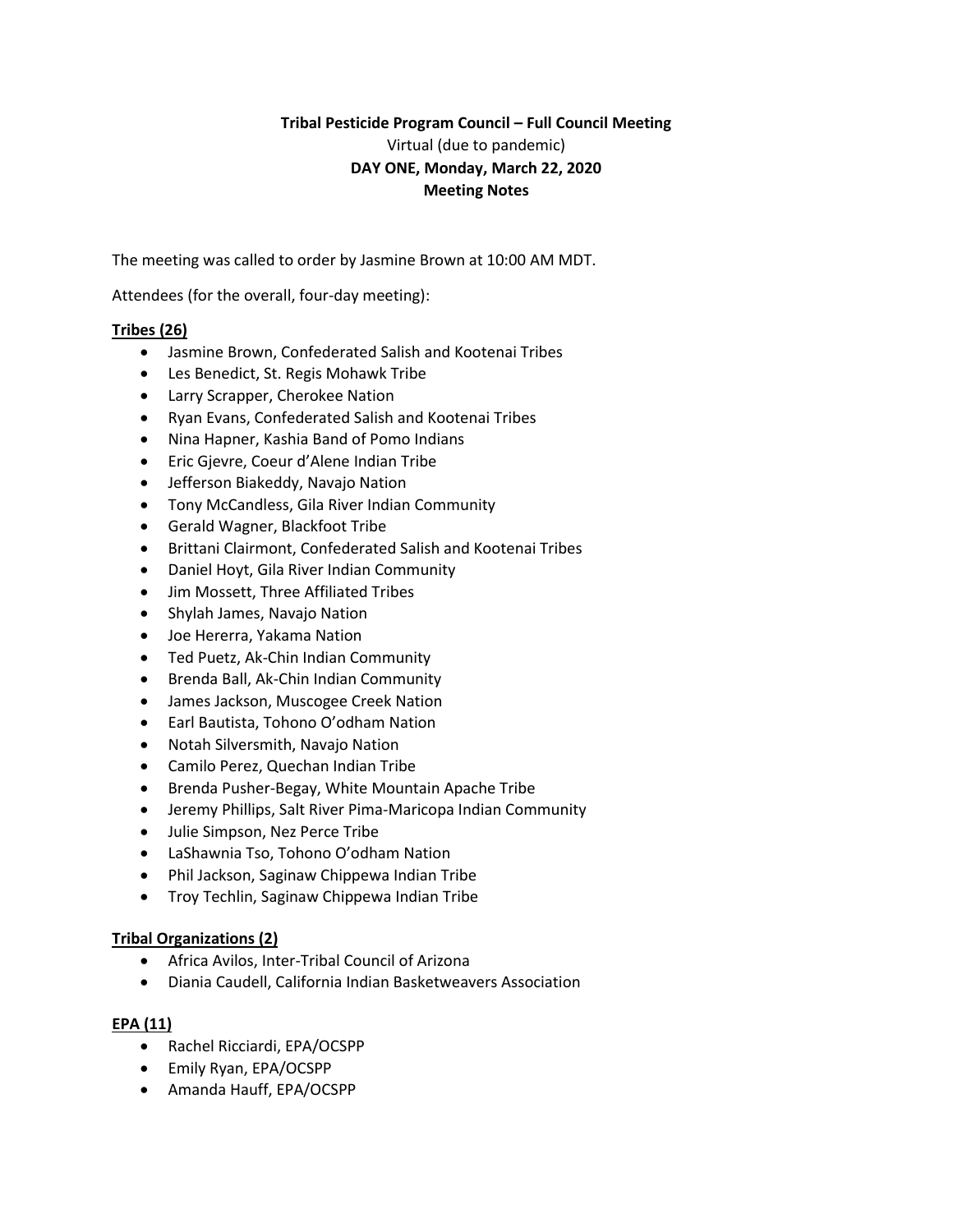# **Tribal Pesticide Program Council – Full Council Meeting** Virtual (due to pandemic) **DAY ONE, Monday, March 22, 2020 Meeting Notes**

The meeting was called to order by Jasmine Brown at 10:00 AM MDT.

Attendees (for the overall, four-day meeting):

### **Tribes (26)**

- Jasmine Brown, Confederated Salish and Kootenai Tribes
- Les Benedict, St. Regis Mohawk Tribe
- Larry Scrapper, Cherokee Nation
- Ryan Evans, Confederated Salish and Kootenai Tribes
- Nina Hapner, Kashia Band of Pomo Indians
- Eric Gjevre, Coeur d'Alene Indian Tribe
- Jefferson Biakeddy, Navajo Nation
- Tony McCandless, Gila River Indian Community
- Gerald Wagner, Blackfoot Tribe
- Brittani Clairmont, Confederated Salish and Kootenai Tribes
- Daniel Hoyt, Gila River Indian Community
- Jim Mossett, Three Affiliated Tribes
- Shylah James, Navajo Nation
- Joe Hererra, Yakama Nation
- Ted Puetz, Ak-Chin Indian Community
- Brenda Ball, Ak-Chin Indian Community
- James Jackson, Muscogee Creek Nation
- Earl Bautista, Tohono O'odham Nation
- Notah Silversmith, Navajo Nation
- Camilo Perez, Quechan Indian Tribe
- Brenda Pusher-Begay, White Mountain Apache Tribe
- Jeremy Phillips, Salt River Pima-Maricopa Indian Community
- Julie Simpson, Nez Perce Tribe
- LaShawnia Tso, Tohono O'odham Nation
- Phil Jackson, Saginaw Chippewa Indian Tribe
- **•** Troy Techlin, Saginaw Chippewa Indian Tribe

#### **Tribal Organizations (2)**

- Africa Avilos, Inter-Tribal Council of Arizona
- Diania Caudell, California Indian Basketweavers Association

#### **EPA (11)**

- Rachel Ricciardi, EPA/OCSPP
- Emily Ryan, EPA/OCSPP
- Amanda Hauff, EPA/OCSPP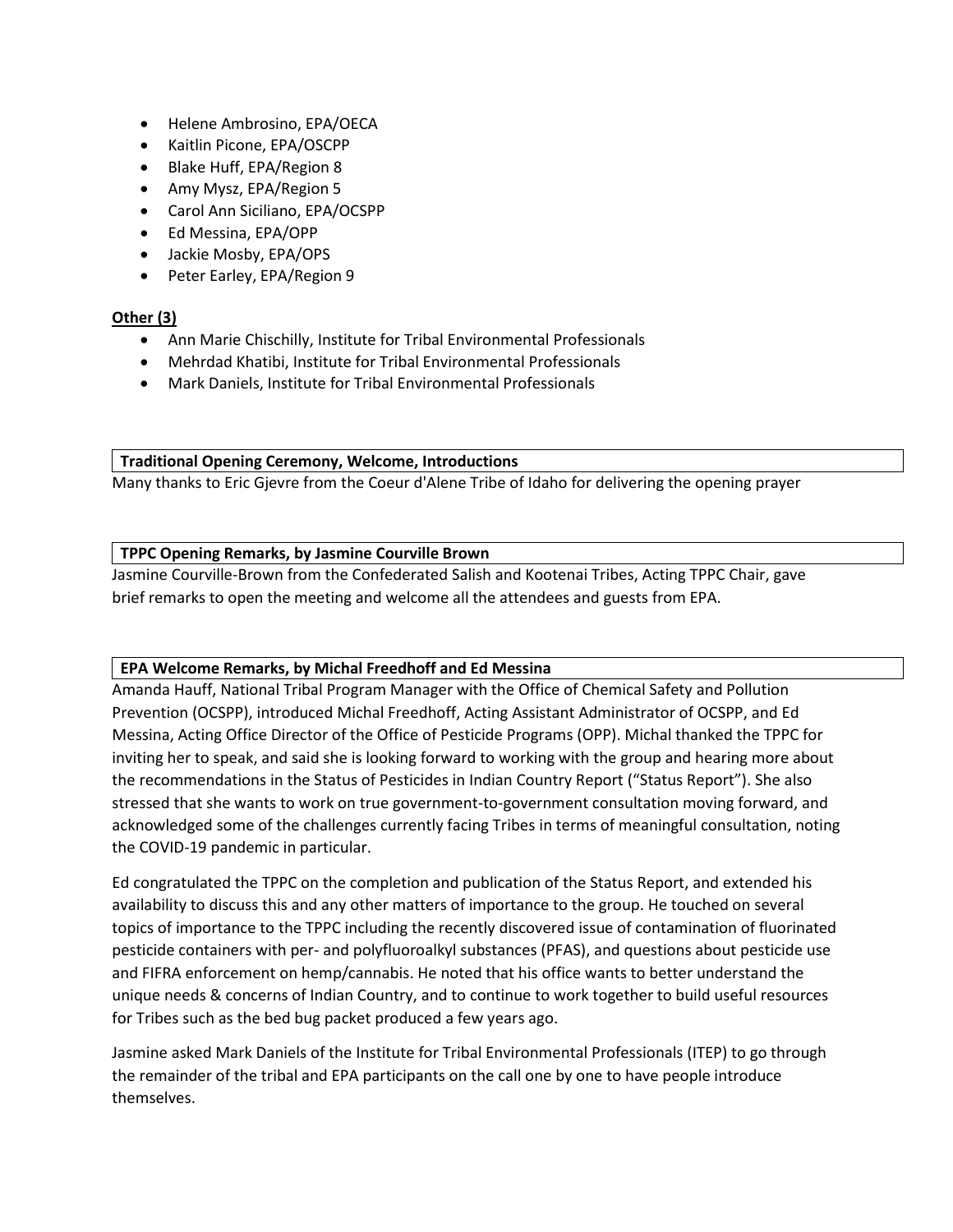- Helene Ambrosino, EPA/OECA
- Kaitlin Picone, EPA/OSCPP
- Blake Huff, EPA/Region 8
- Amy Mysz, EPA/Region 5
- Carol Ann Siciliano, EPA/OCSPP
- Ed Messina, EPA/OPP
- Jackie Mosby, EPA/OPS
- Peter Earley, EPA/Region 9

### **Other (3)**

- Ann Marie Chischilly, Institute for Tribal Environmental Professionals
- Mehrdad Khatibi, Institute for Tribal Environmental Professionals
- Mark Daniels, Institute for Tribal Environmental Professionals

**Traditional Opening Ceremony, Welcome, Introductions**

Many thanks to Eric Gjevre from the Coeur d'Alene Tribe of Idaho for delivering the opening prayer

#### **TPPC Opening Remarks, by Jasmine Courville Brown**

Jasmine Courville-Brown from the Confederated Salish and Kootenai Tribes, Acting TPPC Chair, gave brief remarks to open the meeting and welcome all the attendees and guests from EPA.

### **EPA Welcome Remarks, by Michal Freedhoff and Ed Messina**

Amanda Hauff, National Tribal Program Manager with the Office of Chemical Safety and Pollution Prevention (OCSPP), introduced Michal Freedhoff, Acting Assistant Administrator of OCSPP, and Ed Messina, Acting Office Director of the Office of Pesticide Programs (OPP). Michal thanked the TPPC for inviting her to speak, and said she is looking forward to working with the group and hearing more about the recommendations in the Status of Pesticides in Indian Country Report ("Status Report"). She also stressed that she wants to work on true government-to-government consultation moving forward, and acknowledged some of the challenges currently facing Tribes in terms of meaningful consultation, noting the COVID-19 pandemic in particular.

Ed congratulated the TPPC on the completion and publication of the Status Report, and extended his availability to discuss this and any other matters of importance to the group. He touched on several topics of importance to the TPPC including the recently discovered issue of contamination of fluorinated pesticide containers with per- and polyfluoroalkyl substances (PFAS), and questions about pesticide use and FIFRA enforcement on hemp/cannabis. He noted that his office wants to better understand the unique needs & concerns of Indian Country, and to continue to work together to build useful resources for Tribes such as the bed bug packet produced a few years ago.

Jasmine asked Mark Daniels of the Institute for Tribal Environmental Professionals (ITEP) to go through the remainder of the tribal and EPA participants on the call one by one to have people introduce themselves.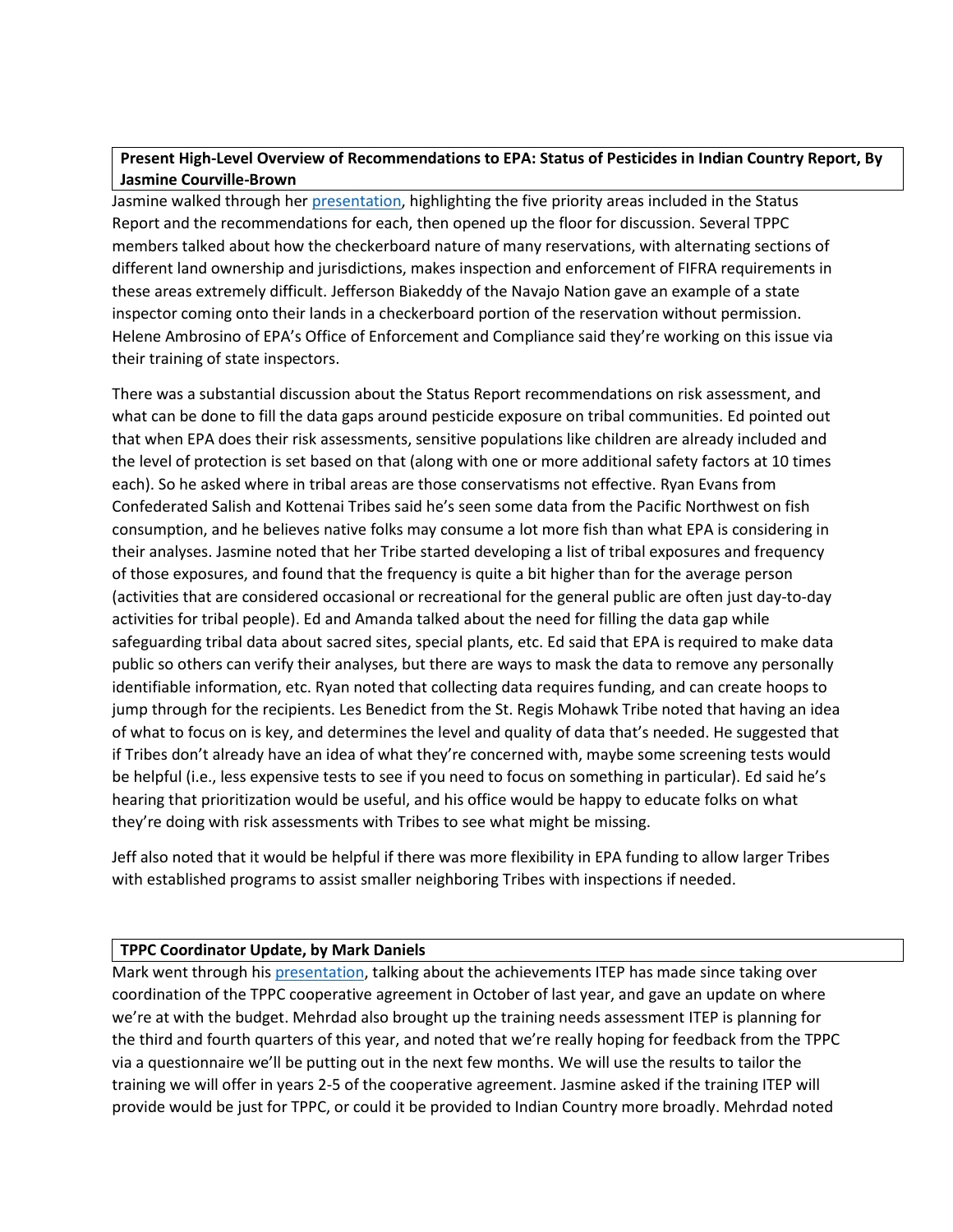## **Present High-Level Overview of Recommendations to EPA: Status of Pesticides in Indian Country Report, By Jasmine Courville-Brown**

Jasmine walked through he[r presentation,](https://tppcwebsite.org/tppc-priorities-recommendations_03-12-21/) highlighting the five priority areas included in the Status Report and the recommendations for each, then opened up the floor for discussion. Several TPPC members talked about how the checkerboard nature of many reservations, with alternating sections of different land ownership and jurisdictions, makes inspection and enforcement of FIFRA requirements in these areas extremely difficult. Jefferson Biakeddy of the Navajo Nation gave an example of a state inspector coming onto their lands in a checkerboard portion of the reservation without permission. Helene Ambrosino of EPA's Office of Enforcement and Compliance said they're working on this issue via their training of state inspectors.

There was a substantial discussion about the Status Report recommendations on risk assessment, and what can be done to fill the data gaps around pesticide exposure on tribal communities. Ed pointed out that when EPA does their risk assessments, sensitive populations like children are already included and the level of protection is set based on that (along with one or more additional safety factors at 10 times each). So he asked where in tribal areas are those conservatisms not effective. Ryan Evans from Confederated Salish and Kottenai Tribes said he's seen some data from the Pacific Northwest on fish consumption, and he believes native folks may consume a lot more fish than what EPA is considering in their analyses. Jasmine noted that her Tribe started developing a list of tribal exposures and frequency of those exposures, and found that the frequency is quite a bit higher than for the average person (activities that are considered occasional or recreational for the general public are often just day-to-day activities for tribal people). Ed and Amanda talked about the need for filling the data gap while safeguarding tribal data about sacred sites, special plants, etc. Ed said that EPA is required to make data public so others can verify their analyses, but there are ways to mask the data to remove any personally identifiable information, etc. Ryan noted that collecting data requires funding, and can create hoops to jump through for the recipients. Les Benedict from the St. Regis Mohawk Tribe noted that having an idea of what to focus on is key, and determines the level and quality of data that's needed. He suggested that if Tribes don't already have an idea of what they're concerned with, maybe some screening tests would be helpful (i.e., less expensive tests to see if you need to focus on something in particular). Ed said he's hearing that prioritization would be useful, and his office would be happy to educate folks on what they're doing with risk assessments with Tribes to see what might be missing.

Jeff also noted that it would be helpful if there was more flexibility in EPA funding to allow larger Tribes with established programs to assist smaller neighboring Tribes with inspections if needed.

### **TPPC Coordinator Update, by Mark Daniels**

Mark went through hi[s presentation,](https://tppcwebsite.org/itep-report-out_03-22-21/) talking about the achievements ITEP has made since taking over coordination of the TPPC cooperative agreement in October of last year, and gave an update on where we're at with the budget. Mehrdad also brought up the training needs assessment ITEP is planning for the third and fourth quarters of this year, and noted that we're really hoping for feedback from the TPPC via a questionnaire we'll be putting out in the next few months. We will use the results to tailor the training we will offer in years 2-5 of the cooperative agreement. Jasmine asked if the training ITEP will provide would be just for TPPC, or could it be provided to Indian Country more broadly. Mehrdad noted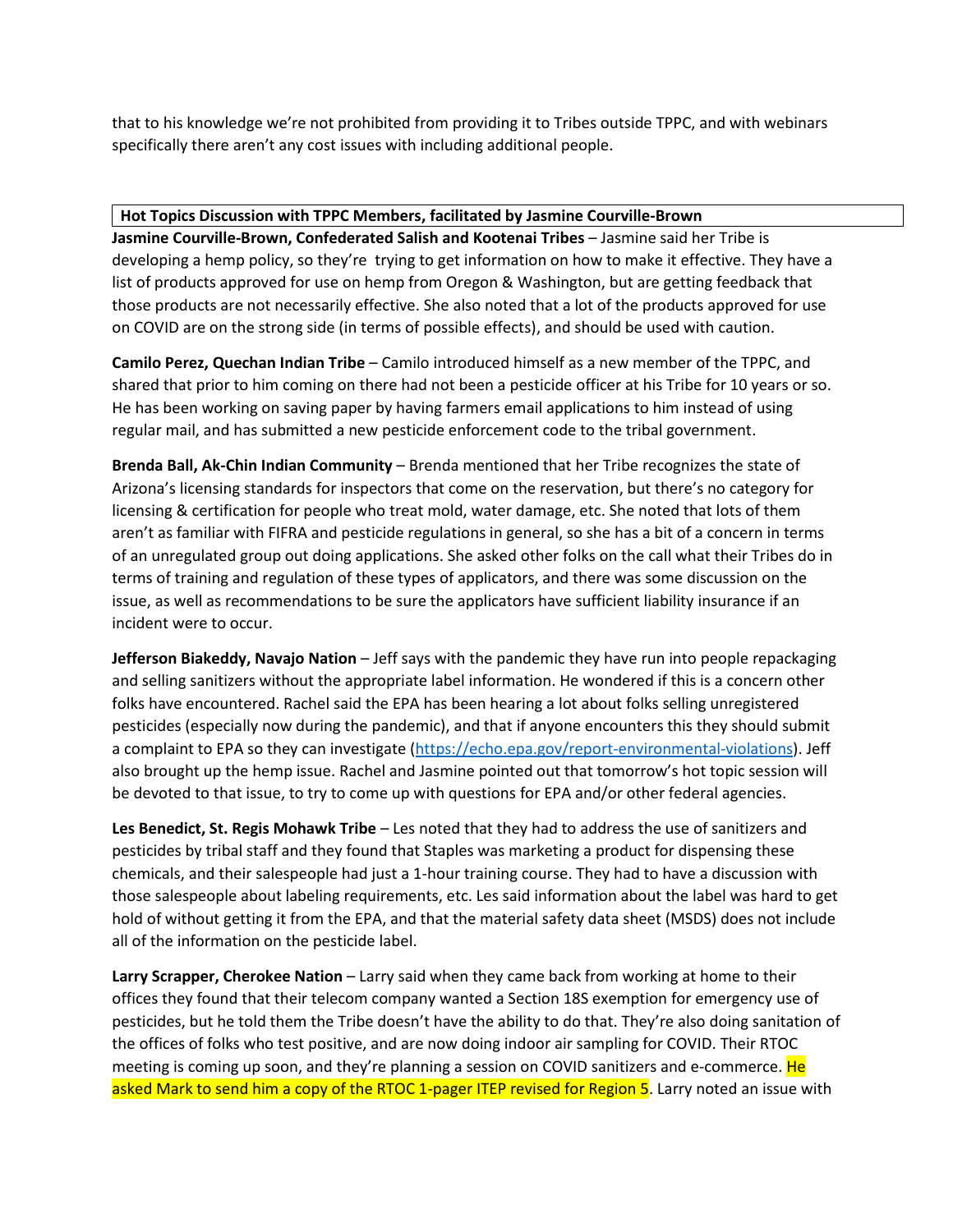that to his knowledge we're not prohibited from providing it to Tribes outside TPPC, and with webinars specifically there aren't any cost issues with including additional people.

### **Hot Topics Discussion with TPPC Members, facilitated by Jasmine Courville-Brown**

**Jasmine Courville-Brown, Confederated Salish and Kootenai Tribes** – Jasmine said her Tribe is developing a hemp policy, so they're trying to get information on how to make it effective. They have a list of products approved for use on hemp from Oregon & Washington, but are getting feedback that those products are not necessarily effective. She also noted that a lot of the products approved for use on COVID are on the strong side (in terms of possible effects), and should be used with caution.

**Camilo Perez, Quechan Indian Tribe** – Camilo introduced himself as a new member of the TPPC, and shared that prior to him coming on there had not been a pesticide officer at his Tribe for 10 years or so. He has been working on saving paper by having farmers email applications to him instead of using regular mail, and has submitted a new pesticide enforcement code to the tribal government.

**Brenda Ball, Ak-Chin Indian Community** – Brenda mentioned that her Tribe recognizes the state of Arizona's licensing standards for inspectors that come on the reservation, but there's no category for licensing & certification for people who treat mold, water damage, etc. She noted that lots of them aren't as familiar with FIFRA and pesticide regulations in general, so she has a bit of a concern in terms of an unregulated group out doing applications. She asked other folks on the call what their Tribes do in terms of training and regulation of these types of applicators, and there was some discussion on the issue, as well as recommendations to be sure the applicators have sufficient liability insurance if an incident were to occur.

**Jefferson Biakeddy, Navajo Nation** – Jeff says with the pandemic they have run into people repackaging and selling sanitizers without the appropriate label information. He wondered if this is a concern other folks have encountered. Rachel said the EPA has been hearing a lot about folks selling unregistered pesticides (especially now during the pandemic), and that if anyone encounters this they should submit a complaint to EPA so they can investigate [\(https://echo.epa.gov/report-environmental-violations\)](https://echo.epa.gov/report-environmental-violations). Jeff also brought up the hemp issue. Rachel and Jasmine pointed out that tomorrow's hot topic session will be devoted to that issue, to try to come up with questions for EPA and/or other federal agencies.

**Les Benedict, St. Regis Mohawk Tribe** – Les noted that they had to address the use of sanitizers and pesticides by tribal staff and they found that Staples was marketing a product for dispensing these chemicals, and their salespeople had just a 1-hour training course. They had to have a discussion with those salespeople about labeling requirements, etc. Les said information about the label was hard to get hold of without getting it from the EPA, and that the material safety data sheet (MSDS) does not include all of the information on the pesticide label.

**Larry Scrapper, Cherokee Nation** – Larry said when they came back from working at home to their offices they found that their telecom company wanted a Section 18S exemption for emergency use of pesticides, but he told them the Tribe doesn't have the ability to do that. They're also doing sanitation of the offices of folks who test positive, and are now doing indoor air sampling for COVID. Their RTOC meeting is coming up soon, and they're planning a session on COVID sanitizers and e-commerce. He asked Mark to send him a copy of the RTOC 1-pager ITEP revised for Region 5. Larry noted an issue with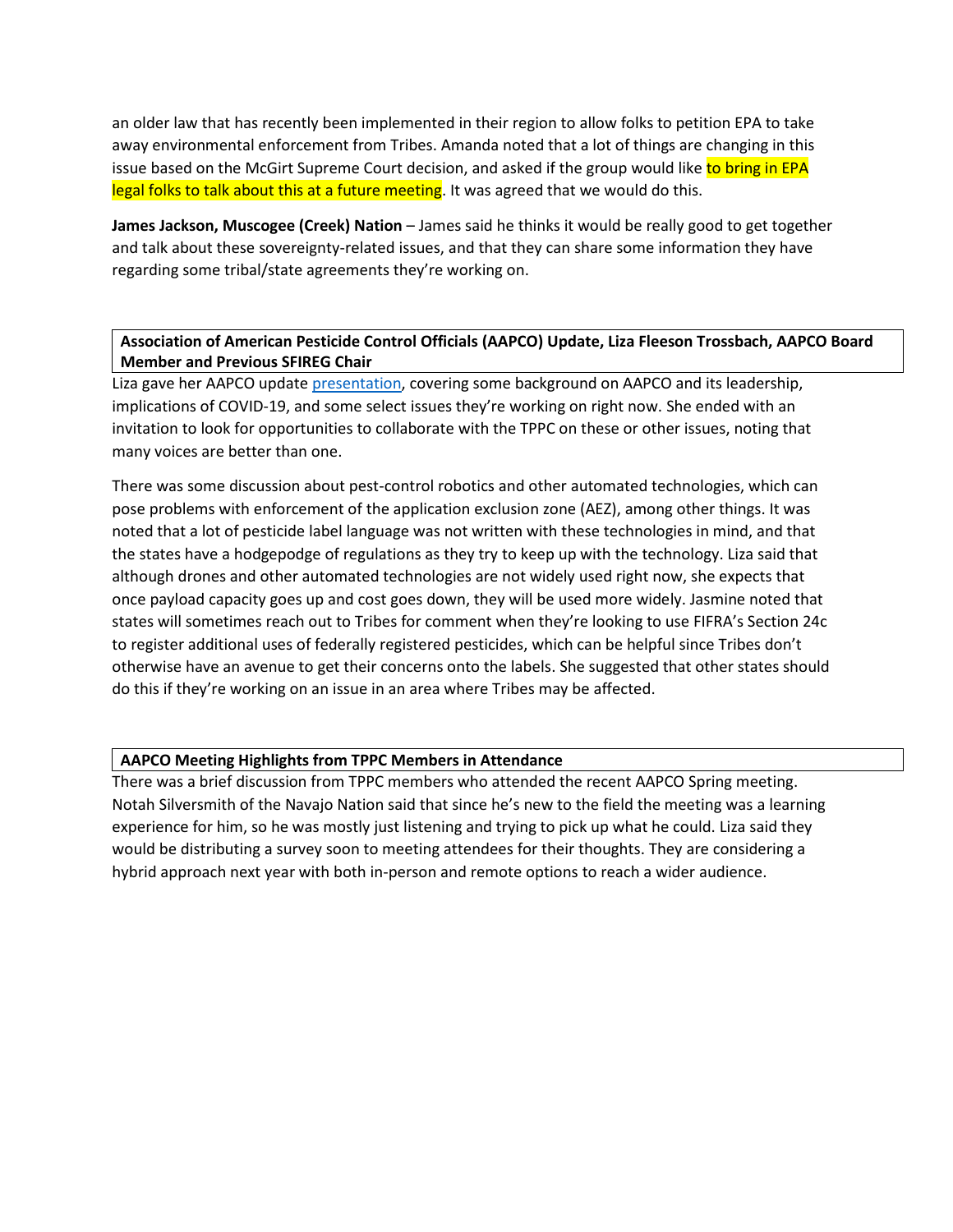an older law that has recently been implemented in their region to allow folks to petition EPA to take away environmental enforcement from Tribes. Amanda noted that a lot of things are changing in this issue based on the McGirt Supreme Court decision, and asked if the group would like to bring in EPA legal folks to talk about this at a future meeting. It was agreed that we would do this.

**James Jackson, Muscogee (Creek) Nation** – James said he thinks it would be really good to get together and talk about these sovereignty-related issues, and that they can share some information they have regarding some tribal/state agreements they're working on.

## **Association of American Pesticide Control Officials (AAPCO) Update, Liza Fleeson Trossbach, AAPCO Board Member and Previous SFIREG Chair**

Liza gave her AAPCO update [presentation,](https://tppcwebsite.org/aapco-update-3-22-21/) covering some background on AAPCO and its leadership, implications of COVID-19, and some select issues they're working on right now. She ended with an invitation to look for opportunities to collaborate with the TPPC on these or other issues, noting that many voices are better than one.

There was some discussion about pest-control robotics and other automated technologies, which can pose problems with enforcement of the application exclusion zone (AEZ), among other things. It was noted that a lot of pesticide label language was not written with these technologies in mind, and that the states have a hodgepodge of regulations as they try to keep up with the technology. Liza said that although drones and other automated technologies are not widely used right now, she expects that once payload capacity goes up and cost goes down, they will be used more widely. Jasmine noted that states will sometimes reach out to Tribes for comment when they're looking to use FIFRA's Section 24c to register additional uses of federally registered pesticides, which can be helpful since Tribes don't otherwise have an avenue to get their concerns onto the labels. She suggested that other states should do this if they're working on an issue in an area where Tribes may be affected.

#### **AAPCO Meeting Highlights from TPPC Members in Attendance**

There was a brief discussion from TPPC members who attended the recent AAPCO Spring meeting. Notah Silversmith of the Navajo Nation said that since he's new to the field the meeting was a learning experience for him, so he was mostly just listening and trying to pick up what he could. Liza said they would be distributing a survey soon to meeting attendees for their thoughts. They are considering a hybrid approach next year with both in-person and remote options to reach a wider audience.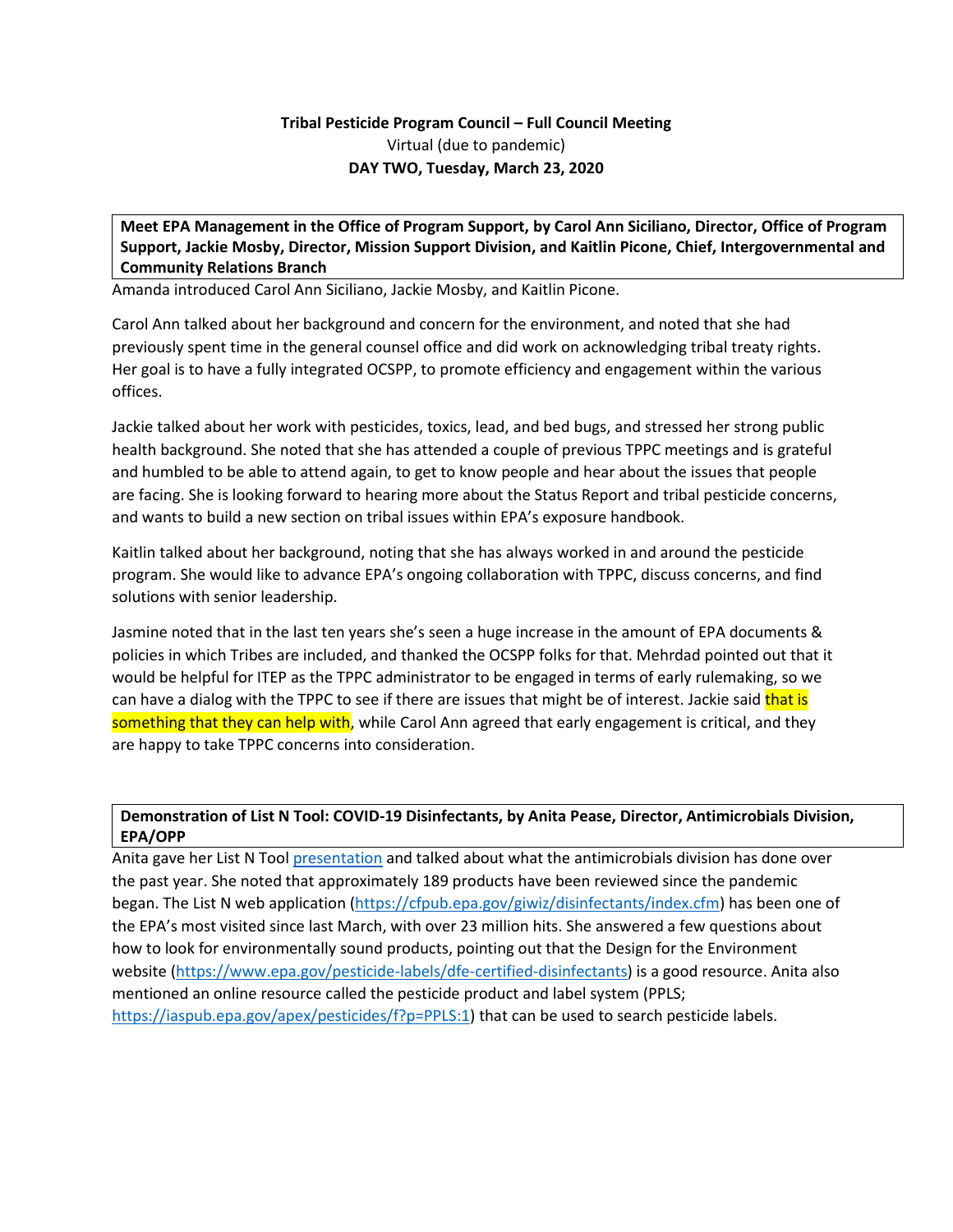# **Tribal Pesticide Program Council – Full Council Meeting** Virtual (due to pandemic) **DAY TWO, Tuesday, March 23, 2020**

**Meet EPA Management in the Office of Program Support, by Carol Ann Siciliano, Director, Office of Program Support, Jackie Mosby, Director, Mission Support Division, and Kaitlin Picone, Chief, Intergovernmental and Community Relations Branch**

Amanda introduced Carol Ann Siciliano, Jackie Mosby, and Kaitlin Picone.

Carol Ann talked about her background and concern for the environment, and noted that she had previously spent time in the general counsel office and did work on acknowledging tribal treaty rights. Her goal is to have a fully integrated OCSPP, to promote efficiency and engagement within the various offices.

Jackie talked about her work with pesticides, toxics, lead, and bed bugs, and stressed her strong public health background. She noted that she has attended a couple of previous TPPC meetings and is grateful and humbled to be able to attend again, to get to know people and hear about the issues that people are facing. She is looking forward to hearing more about the Status Report and tribal pesticide concerns, and wants to build a new section on tribal issues within EPA's exposure handbook.

Kaitlin talked about her background, noting that she has always worked in and around the pesticide program. She would like to advance EPA's ongoing collaboration with TPPC, discuss concerns, and find solutions with senior leadership.

Jasmine noted that in the last ten years she's seen a huge increase in the amount of EPA documents & policies in which Tribes are included, and thanked the OCSPP folks for that. Mehrdad pointed out that it would be helpful for ITEP as the TPPC administrator to be engaged in terms of early rulemaking, so we can have a dialog with the TPPC to see if there are issues that might be of interest. Jackie said that is something that they can help with, while Carol Ann agreed that early engagement is critical, and they are happy to take TPPC concerns into consideration.

# **Demonstration of List N Tool: COVID-19 Disinfectants, by Anita Pease, Director, Antimicrobials Division, EPA/OPP**

Anita gave her List N Tool [presentation](https://tppcwebsite.org/demonstration-of-list-n-tool-covid-19-disinfectants_opp-ad_3-23-21/) and talked about what the antimicrobials division has done over the past year. She noted that approximately 189 products have been reviewed since the pandemic began. The List N web application [\(https://cfpub.epa.gov/giwiz/disinfectants/index.cfm\)](https://cfpub.epa.gov/giwiz/disinfectants/index.cfm) has been one of the EPA's most visited since last March, with over 23 million hits. She answered a few questions about how to look for environmentally sound products, pointing out that the Design for the Environment website [\(https://www.epa.gov/pesticide-labels/dfe-certified-disinfectants\)](https://www.epa.gov/pesticide-labels/dfe-certified-disinfectants) is a good resource. Anita also mentioned an online resource called the pesticide product and label system (PPLS; [https://iaspub.epa.gov/apex/pesticides/f?p=PPLS:1\)](https://iaspub.epa.gov/apex/pesticides/f?p=PPLS:1) that can be used to search pesticide labels.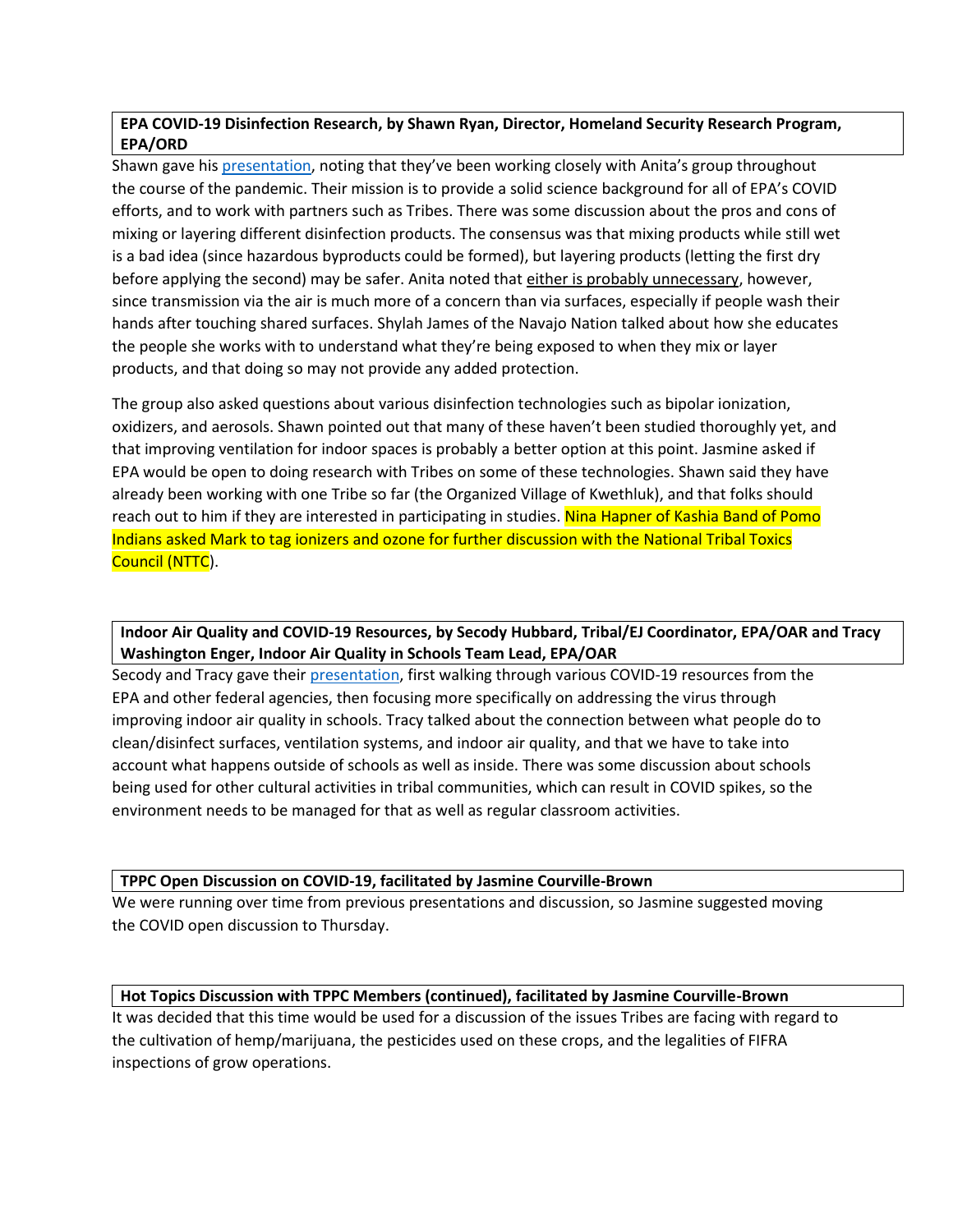# **EPA COVID-19 Disinfection Research, by Shawn Ryan, Director, Homeland Security Research Program, EPA/ORD**

Shawn gave his [presentation,](https://tppcwebsite.org/epa-covid-19-disinfection-research_ord_3-23-21/) noting that they've been working closely with Anita's group throughout the course of the pandemic. Their mission is to provide a solid science background for all of EPA's COVID efforts, and to work with partners such as Tribes. There was some discussion about the pros and cons of mixing or layering different disinfection products. The consensus was that mixing products while still wet is a bad idea (since hazardous byproducts could be formed), but layering products (letting the first dry before applying the second) may be safer. Anita noted that either is probably unnecessary, however, since transmission via the air is much more of a concern than via surfaces, especially if people wash their hands after touching shared surfaces. Shylah James of the Navajo Nation talked about how she educates the people she works with to understand what they're being exposed to when they mix or layer products, and that doing so may not provide any added protection.

The group also asked questions about various disinfection technologies such as bipolar ionization, oxidizers, and aerosols. Shawn pointed out that many of these haven't been studied thoroughly yet, and that improving ventilation for indoor spaces is probably a better option at this point. Jasmine asked if EPA would be open to doing research with Tribes on some of these technologies. Shawn said they have already been working with one Tribe so far (the Organized Village of Kwethluk), and that folks should reach out to him if they are interested in participating in studies. Nina Hapner of Kashia Band of Pomo Indians asked Mark to tag ionizers and ozone for further discussion with the National Tribal Toxics Council (NTTC).

# **Indoor Air Quality and COVID-19 Resources, by Secody Hubbard, Tribal/EJ Coordinator, EPA/OAR and Tracy Washington Enger, Indoor Air Quality in Schools Team Lead, EPA/OAR**

Secody and Tracy gave their [presentation,](https://tppcwebsite.org/indoor-air-quality-and-covid-19-resources_oar_3-23-21/) first walking through various COVID-19 resources from the EPA and other federal agencies, then focusing more specifically on addressing the virus through improving indoor air quality in schools. Tracy talked about the connection between what people do to clean/disinfect surfaces, ventilation systems, and indoor air quality, and that we have to take into account what happens outside of schools as well as inside. There was some discussion about schools being used for other cultural activities in tribal communities, which can result in COVID spikes, so the environment needs to be managed for that as well as regular classroom activities.

## **TPPC Open Discussion on COVID-19, facilitated by Jasmine Courville-Brown**

We were running over time from previous presentations and discussion, so Jasmine suggested moving the COVID open discussion to Thursday.

### **Hot Topics Discussion with TPPC Members (continued), facilitated by Jasmine Courville-Brown**

It was decided that this time would be used for a discussion of the issues Tribes are facing with regard to the cultivation of hemp/marijuana, the pesticides used on these crops, and the legalities of FIFRA inspections of grow operations.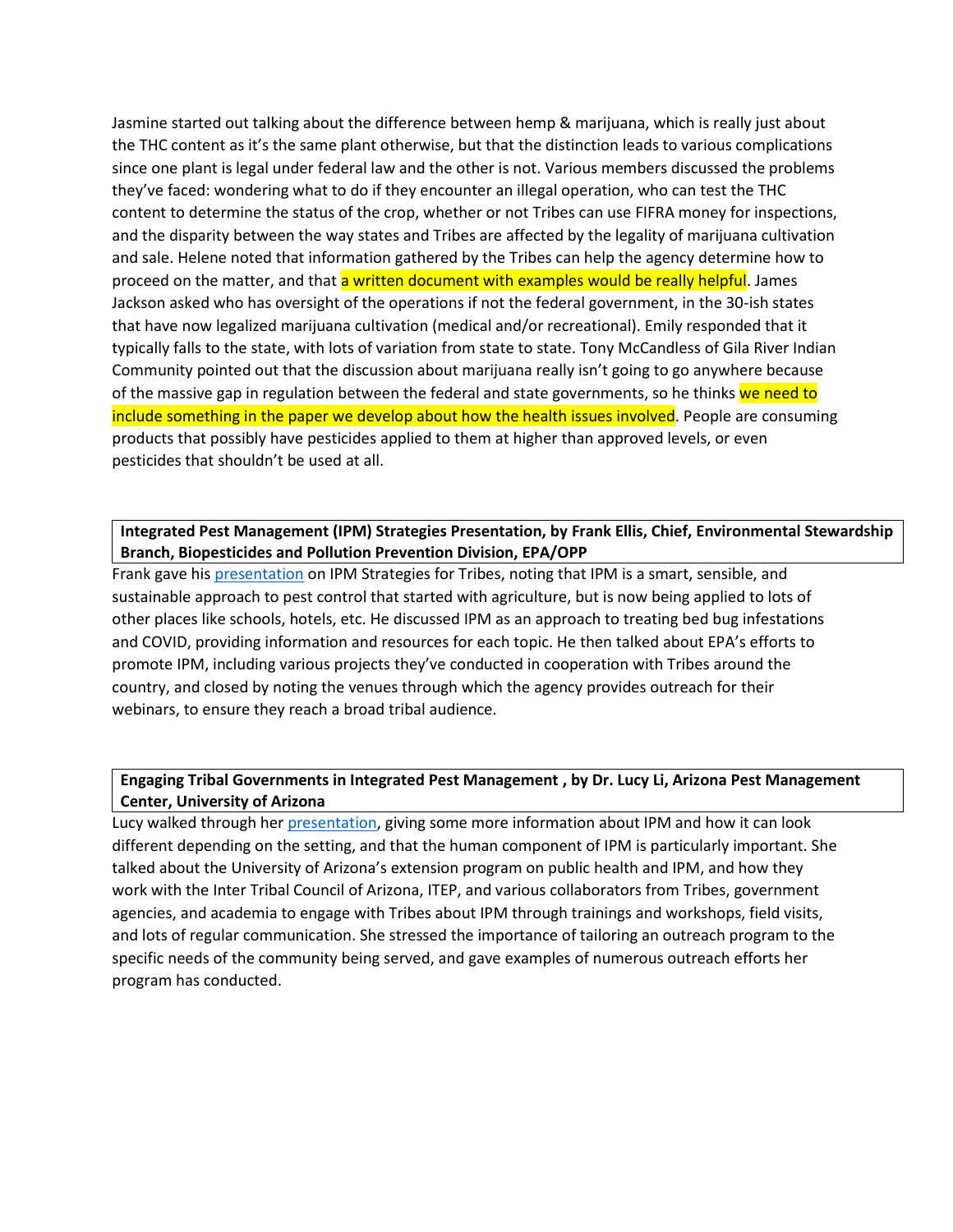Jasmine started out talking about the difference between hemp & marijuana, which is really just about the THC content as it's the same plant otherwise, but that the distinction leads to various complications since one plant is legal under federal law and the other is not. Various members discussed the problems they've faced: wondering what to do if they encounter an illegal operation, who can test the THC content to determine the status of the crop, whether or not Tribes can use FIFRA money for inspections, and the disparity between the way states and Tribes are affected by the legality of marijuana cultivation and sale. Helene noted that information gathered by the Tribes can help the agency determine how to proceed on the matter, and that a written document with examples would be really helpful. James Jackson asked who has oversight of the operations if not the federal government, in the 30-ish states that have now legalized marijuana cultivation (medical and/or recreational). Emily responded that it typically falls to the state, with lots of variation from state to state. Tony McCandless of Gila River Indian Community pointed out that the discussion about marijuana really isn't going to go anywhere because of the massive gap in regulation between the federal and state governments, so he thinks we need to include something in the paper we develop about how the health issues involved. People are consuming products that possibly have pesticides applied to them at higher than approved levels, or even pesticides that shouldn't be used at all.

## **Integrated Pest Management (IPM) Strategies Presentation, by Frank Ellis, Chief, Environmental Stewardship Branch, Biopesticides and Pollution Prevention Division, EPA/OPP**

Frank gave his [presentation](https://tppcwebsite.org/ipm-strategies-and-resources-for-tribes-tppc-2020-03/) on IPM Strategies for Tribes, noting that IPM is a smart, sensible, and sustainable approach to pest control that started with agriculture, but is now being applied to lots of other places like schools, hotels, etc. He discussed IPM as an approach to treating bed bug infestations and COVID, providing information and resources for each topic. He then talked about EPA's efforts to promote IPM, including various projects they've conducted in cooperation with Tribes around the country, and closed by noting the venues through which the agency provides outreach for their webinars, to ensure they reach a broad tribal audience.

#### **Engaging Tribal Governments in Integrated Pest Management , by Dr. Lucy Li, Arizona Pest Management Center, University of Arizona**

Lucy walked through her [presentation,](https://tppcwebsite.org/engaging-tribal-government-in-ipm_03-23-21/) giving some more information about IPM and how it can look different depending on the setting, and that the human component of IPM is particularly important. She talked about the University of Arizona's extension program on public health and IPM, and how they work with the Inter Tribal Council of Arizona, ITEP, and various collaborators from Tribes, government agencies, and academia to engage with Tribes about IPM through trainings and workshops, field visits, and lots of regular communication. She stressed the importance of tailoring an outreach program to the specific needs of the community being served, and gave examples of numerous outreach efforts her program has conducted.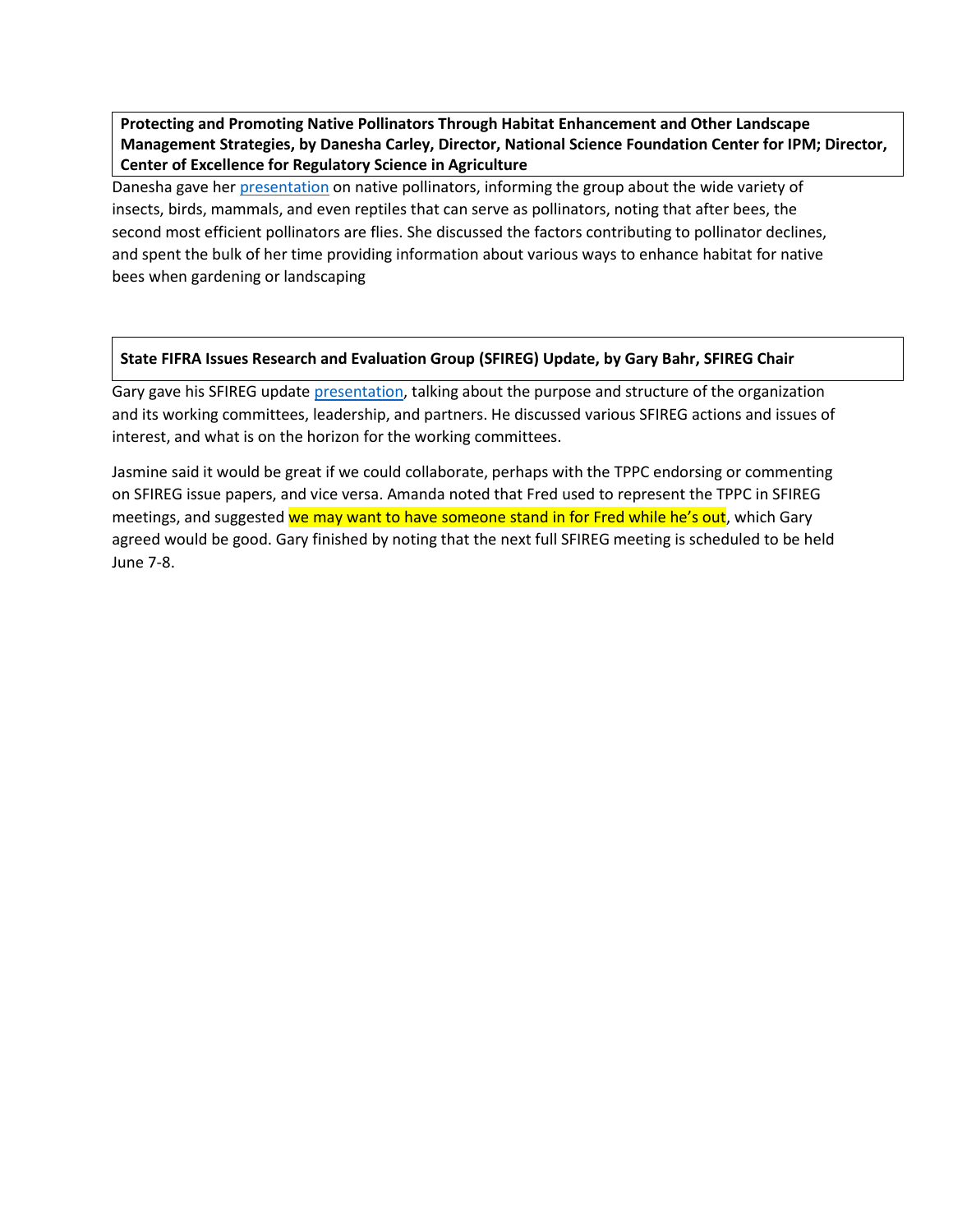**Protecting and Promoting Native Pollinators Through Habitat Enhancement and Other Landscape Management Strategies, by Danesha Carley, Director, National Science Foundation Center for IPM; Director, Center of Excellence for Regulatory Science in Agriculture**

Danesha gave her [presentation](https://tppcwebsite.org/native-bee-pollinator-habitat-webinar_03-23-21/) on native pollinators, informing the group about the wide variety of insects, birds, mammals, and even reptiles that can serve as pollinators, noting that after bees, the second most efficient pollinators are flies. She discussed the factors contributing to pollinator declines, and spent the bulk of her time providing information about various ways to enhance habitat for native bees when gardening or landscaping

#### **State FIFRA Issues Research and Evaluation Group (SFIREG) Update, by Gary Bahr, SFIREG Chair**

Gary gave his SFIREG update [presentation,](https://tppcwebsite.org/gbahr_sfireg-update_tppc_march-23-2021/) talking about the purpose and structure of the organization and its working committees, leadership, and partners. He discussed various SFIREG actions and issues of interest, and what is on the horizon for the working committees.

Jasmine said it would be great if we could collaborate, perhaps with the TPPC endorsing or commenting on SFIREG issue papers, and vice versa. Amanda noted that Fred used to represent the TPPC in SFIREG meetings, and suggested we may want to have someone stand in for Fred while he's out, which Gary agreed would be good. Gary finished by noting that the next full SFIREG meeting is scheduled to be held June 7-8.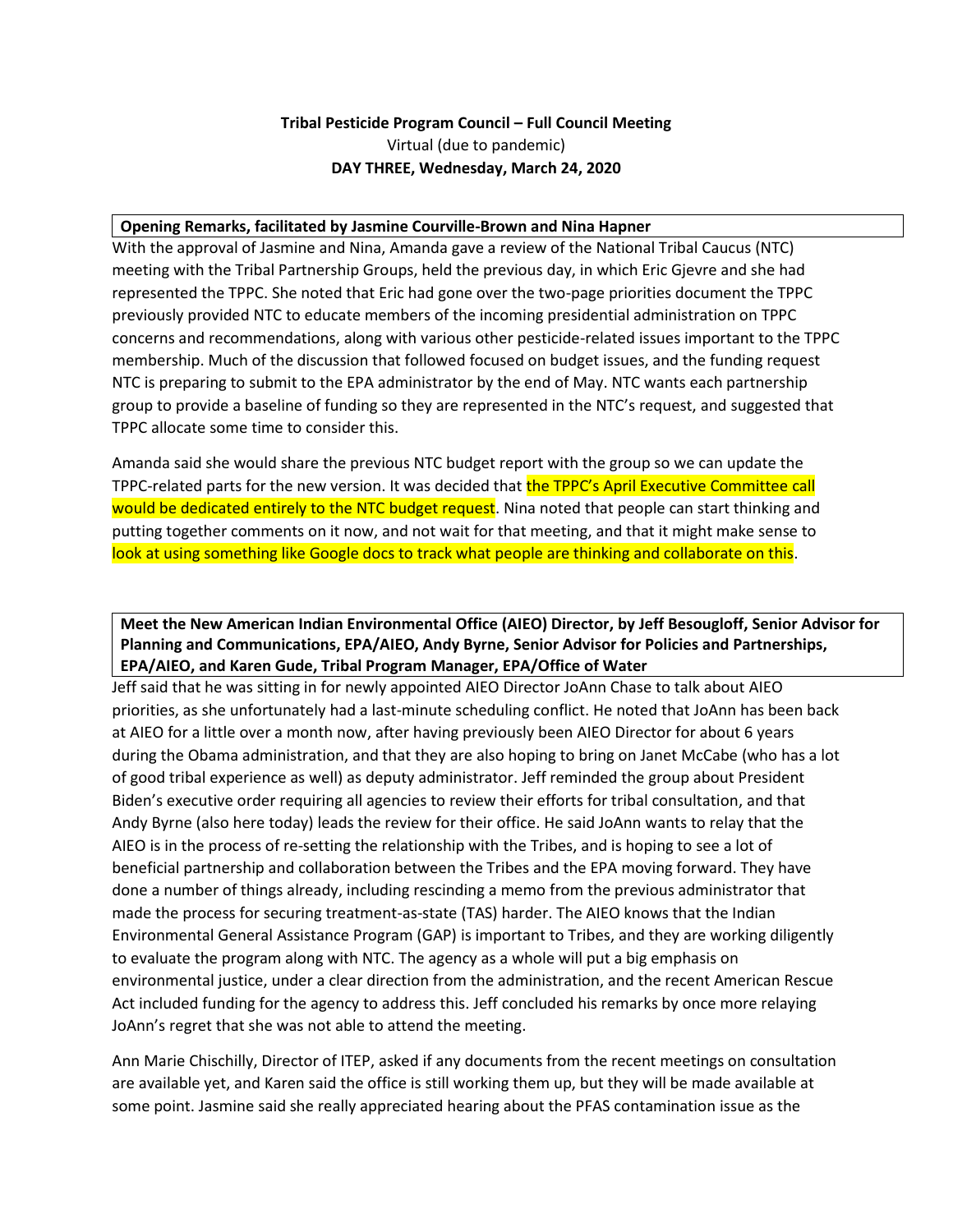# **Tribal Pesticide Program Council – Full Council Meeting** Virtual (due to pandemic) **DAY THREE, Wednesday, March 24, 2020**

#### **Opening Remarks, facilitated by Jasmine Courville-Brown and Nina Hapner**

With the approval of Jasmine and Nina, Amanda gave a review of the National Tribal Caucus (NTC) meeting with the Tribal Partnership Groups, held the previous day, in which Eric Gjevre and she had represented the TPPC. She noted that Eric had gone over the two-page priorities document the TPPC previously provided NTC to educate members of the incoming presidential administration on TPPC concerns and recommendations, along with various other pesticide-related issues important to the TPPC membership. Much of the discussion that followed focused on budget issues, and the funding request NTC is preparing to submit to the EPA administrator by the end of May. NTC wants each partnership group to provide a baseline of funding so they are represented in the NTC's request, and suggested that TPPC allocate some time to consider this.

Amanda said she would share the previous NTC budget report with the group so we can update the TPPC-related parts for the new version. It was decided that the TPPC's April Executive Committee call would be dedicated entirely to the NTC budget request. Nina noted that people can start thinking and putting together comments on it now, and not wait for that meeting, and that it might make sense to look at using something like Google docs to track what people are thinking and collaborate on this.

## **Meet the New American Indian Environmental Office (AIEO) Director, by Jeff Besougloff, Senior Advisor for Planning and Communications, EPA/AIEO, Andy Byrne, Senior Advisor for Policies and Partnerships, EPA/AIEO, and Karen Gude, Tribal Program Manager, EPA/Office of Water**

Jeff said that he was sitting in for newly appointed AIEO Director JoAnn Chase to talk about AIEO priorities, as she unfortunately had a last-minute scheduling conflict. He noted that JoAnn has been back at AIEO for a little over a month now, after having previously been AIEO Director for about 6 years during the Obama administration, and that they are also hoping to bring on Janet McCabe (who has a lot of good tribal experience as well) as deputy administrator. Jeff reminded the group about President Biden's executive order requiring all agencies to review their efforts for tribal consultation, and that Andy Byrne (also here today) leads the review for their office. He said JoAnn wants to relay that the AIEO is in the process of re-setting the relationship with the Tribes, and is hoping to see a lot of beneficial partnership and collaboration between the Tribes and the EPA moving forward. They have done a number of things already, including rescinding a memo from the previous administrator that made the process for securing treatment-as-state (TAS) harder. The AIEO knows that the Indian Environmental General Assistance Program (GAP) is important to Tribes, and they are working diligently to evaluate the program along with NTC. The agency as a whole will put a big emphasis on environmental justice, under a clear direction from the administration, and the recent American Rescue Act included funding for the agency to address this. Jeff concluded his remarks by once more relaying JoAnn's regret that she was not able to attend the meeting.

Ann Marie Chischilly, Director of ITEP, asked if any documents from the recent meetings on consultation are available yet, and Karen said the office is still working them up, but they will be made available at some point. Jasmine said she really appreciated hearing about the PFAS contamination issue as the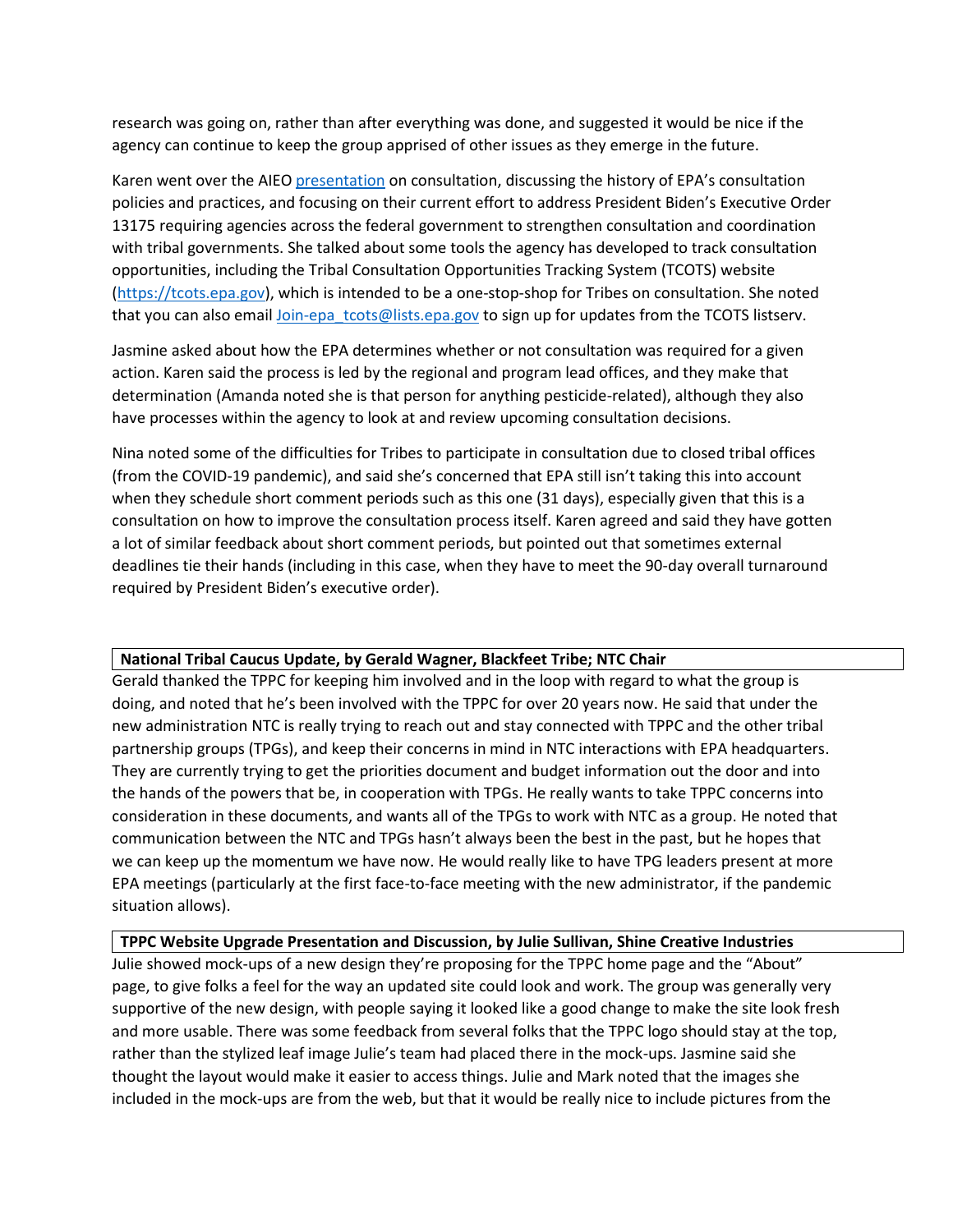research was going on, rather than after everything was done, and suggested it would be nice if the agency can continue to keep the group apprised of other issues as they emerge in the future.

Karen went over the AIEO [presentation](https://tppcwebsite.org/improving-epas-consultation-with-tribes_3-24-21/) on consultation, discussing the history of EPA's consultation policies and practices, and focusing on their current effort to address President Biden's Executive Order 13175 requiring agencies across the federal government to strengthen consultation and coordination with tribal governments. She talked about some tools the agency has developed to track consultation opportunities, including the Tribal Consultation Opportunities Tracking System (TCOTS) website [\(https://tcots.epa.gov\)](https://tcots.epa.gov/), which is intended to be a one-stop-shop for Tribes on consultation. She noted that you can also email *Join-epa\_tcots@lists.epa.gov* to sign up for updates from the TCOTS listserv.

Jasmine asked about how the EPA determines whether or not consultation was required for a given action. Karen said the process is led by the regional and program lead offices, and they make that determination (Amanda noted she is that person for anything pesticide-related), although they also have processes within the agency to look at and review upcoming consultation decisions.

Nina noted some of the difficulties for Tribes to participate in consultation due to closed tribal offices (from the COVID-19 pandemic), and said she's concerned that EPA still isn't taking this into account when they schedule short comment periods such as this one (31 days), especially given that this is a consultation on how to improve the consultation process itself. Karen agreed and said they have gotten a lot of similar feedback about short comment periods, but pointed out that sometimes external deadlines tie their hands (including in this case, when they have to meet the 90-day overall turnaround required by President Biden's executive order).

### **National Tribal Caucus Update, by Gerald Wagner, Blackfeet Tribe; NTC Chair**

Gerald thanked the TPPC for keeping him involved and in the loop with regard to what the group is doing, and noted that he's been involved with the TPPC for over 20 years now. He said that under the new administration NTC is really trying to reach out and stay connected with TPPC and the other tribal partnership groups (TPGs), and keep their concerns in mind in NTC interactions with EPA headquarters. They are currently trying to get the priorities document and budget information out the door and into the hands of the powers that be, in cooperation with TPGs. He really wants to take TPPC concerns into consideration in these documents, and wants all of the TPGs to work with NTC as a group. He noted that communication between the NTC and TPGs hasn't always been the best in the past, but he hopes that we can keep up the momentum we have now. He would really like to have TPG leaders present at more EPA meetings (particularly at the first face-to-face meeting with the new administrator, if the pandemic situation allows).

#### **TPPC Website Upgrade Presentation and Discussion, by Julie Sullivan, Shine Creative Industries**

Julie showed mock-ups of a new design they're proposing for the TPPC home page and the "About" page, to give folks a feel for the way an updated site could look and work. The group was generally very supportive of the new design, with people saying it looked like a good change to make the site look fresh and more usable. There was some feedback from several folks that the TPPC logo should stay at the top, rather than the stylized leaf image Julie's team had placed there in the mock-ups. Jasmine said she thought the layout would make it easier to access things. Julie and Mark noted that the images she included in the mock-ups are from the web, but that it would be really nice to include pictures from the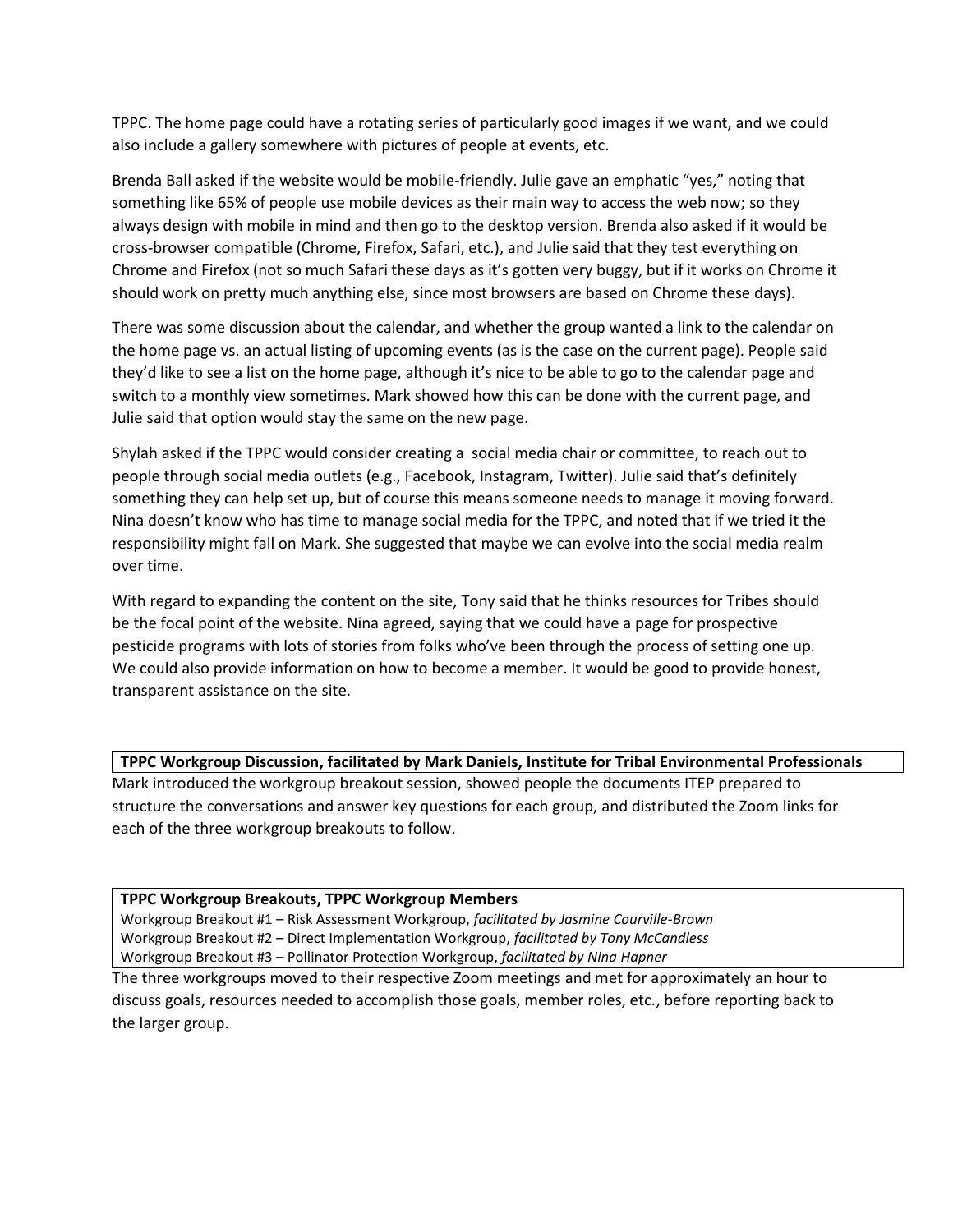TPPC. The home page could have a rotating series of particularly good images if we want, and we could also include a gallery somewhere with pictures of people at events, etc.

Brenda Ball asked if the website would be mobile-friendly. Julie gave an emphatic "yes," noting that something like 65% of people use mobile devices as their main way to access the web now; so they always design with mobile in mind and then go to the desktop version. Brenda also asked if it would be cross-browser compatible (Chrome, Firefox, Safari, etc.), and Julie said that they test everything on Chrome and Firefox (not so much Safari these days as it's gotten very buggy, but if it works on Chrome it should work on pretty much anything else, since most browsers are based on Chrome these days).

There was some discussion about the calendar, and whether the group wanted a link to the calendar on the home page vs. an actual listing of upcoming events (as is the case on the current page). People said they'd like to see a list on the home page, although it's nice to be able to go to the calendar page and switch to a monthly view sometimes. Mark showed how this can be done with the current page, and Julie said that option would stay the same on the new page.

Shylah asked if the TPPC would consider creating a social media chair or committee, to reach out to people through social media outlets (e.g., Facebook, Instagram, Twitter). Julie said that's definitely something they can help set up, but of course this means someone needs to manage it moving forward. Nina doesn't know who has time to manage social media for the TPPC, and noted that if we tried it the responsibility might fall on Mark. She suggested that maybe we can evolve into the social media realm over time.

With regard to expanding the content on the site, Tony said that he thinks resources for Tribes should be the focal point of the website. Nina agreed, saying that we could have a page for prospective pesticide programs with lots of stories from folks who've been through the process of setting one up. We could also provide information on how to become a member. It would be good to provide honest, transparent assistance on the site.

**TPPC Workgroup Discussion, facilitated by Mark Daniels, Institute for Tribal Environmental Professionals**

Mark introduced the workgroup breakout session, showed people the documents ITEP prepared to structure the conversations and answer key questions for each group, and distributed the Zoom links for each of the three workgroup breakouts to follow.

#### **TPPC Workgroup Breakouts, TPPC Workgroup Members**

Workgroup Breakout #1 – Risk Assessment Workgroup, *facilitated by Jasmine Courville-Brown* Workgroup Breakout #2 – Direct Implementation Workgroup, *facilitated by Tony McCandless* Workgroup Breakout #3 – Pollinator Protection Workgroup, *facilitated by Nina Hapner*

The three workgroups moved to their respective Zoom meetings and met for approximately an hour to discuss goals, resources needed to accomplish those goals, member roles, etc., before reporting back to the larger group.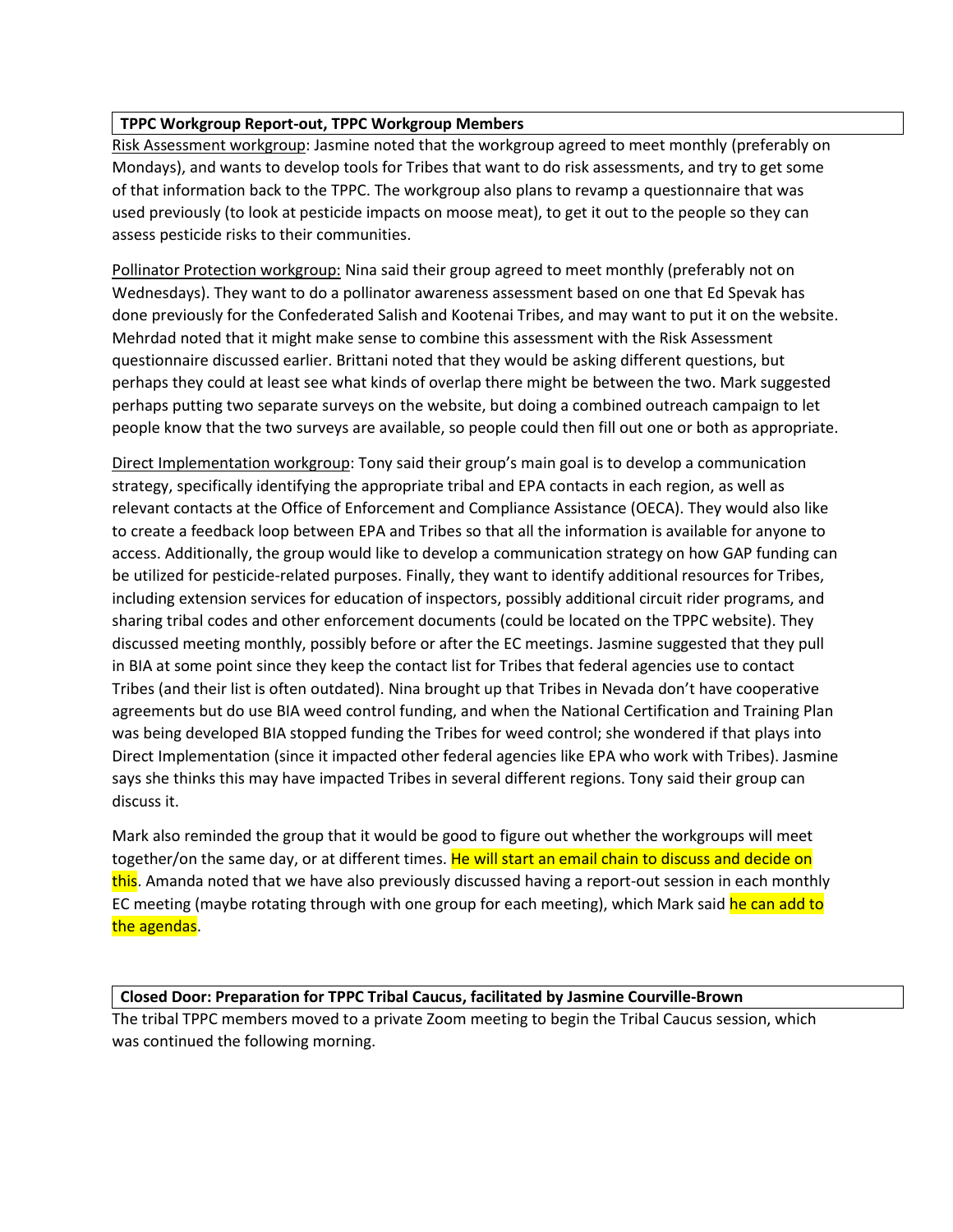# **TPPC Workgroup Report-out, TPPC Workgroup Members**

Risk Assessment workgroup: Jasmine noted that the workgroup agreed to meet monthly (preferably on Mondays), and wants to develop tools for Tribes that want to do risk assessments, and try to get some of that information back to the TPPC. The workgroup also plans to revamp a questionnaire that was used previously (to look at pesticide impacts on moose meat), to get it out to the people so they can assess pesticide risks to their communities.

Pollinator Protection workgroup: Nina said their group agreed to meet monthly (preferably not on Wednesdays). They want to do a pollinator awareness assessment based on one that Ed Spevak has done previously for the Confederated Salish and Kootenai Tribes, and may want to put it on the website. Mehrdad noted that it might make sense to combine this assessment with the Risk Assessment questionnaire discussed earlier. Brittani noted that they would be asking different questions, but perhaps they could at least see what kinds of overlap there might be between the two. Mark suggested perhaps putting two separate surveys on the website, but doing a combined outreach campaign to let people know that the two surveys are available, so people could then fill out one or both as appropriate.

Direct Implementation workgroup: Tony said their group's main goal is to develop a communication strategy, specifically identifying the appropriate tribal and EPA contacts in each region, as well as relevant contacts at the Office of Enforcement and Compliance Assistance (OECA). They would also like to create a feedback loop between EPA and Tribes so that all the information is available for anyone to access. Additionally, the group would like to develop a communication strategy on how GAP funding can be utilized for pesticide-related purposes. Finally, they want to identify additional resources for Tribes, including extension services for education of inspectors, possibly additional circuit rider programs, and sharing tribal codes and other enforcement documents (could be located on the TPPC website). They discussed meeting monthly, possibly before or after the EC meetings. Jasmine suggested that they pull in BIA at some point since they keep the contact list for Tribes that federal agencies use to contact Tribes (and their list is often outdated). Nina brought up that Tribes in Nevada don't have cooperative agreements but do use BIA weed control funding, and when the National Certification and Training Plan was being developed BIA stopped funding the Tribes for weed control; she wondered if that plays into Direct Implementation (since it impacted other federal agencies like EPA who work with Tribes). Jasmine says she thinks this may have impacted Tribes in several different regions. Tony said their group can discuss it.

Mark also reminded the group that it would be good to figure out whether the workgroups will meet together/on the same day, or at different times. He will start an email chain to discuss and decide on this. Amanda noted that we have also previously discussed having a report-out session in each monthly EC meeting (maybe rotating through with one group for each meeting), which Mark said he can add to the agendas.

# **Closed Door: Preparation for TPPC Tribal Caucus, facilitated by Jasmine Courville-Brown**

The tribal TPPC members moved to a private Zoom meeting to begin the Tribal Caucus session, which was continued the following morning.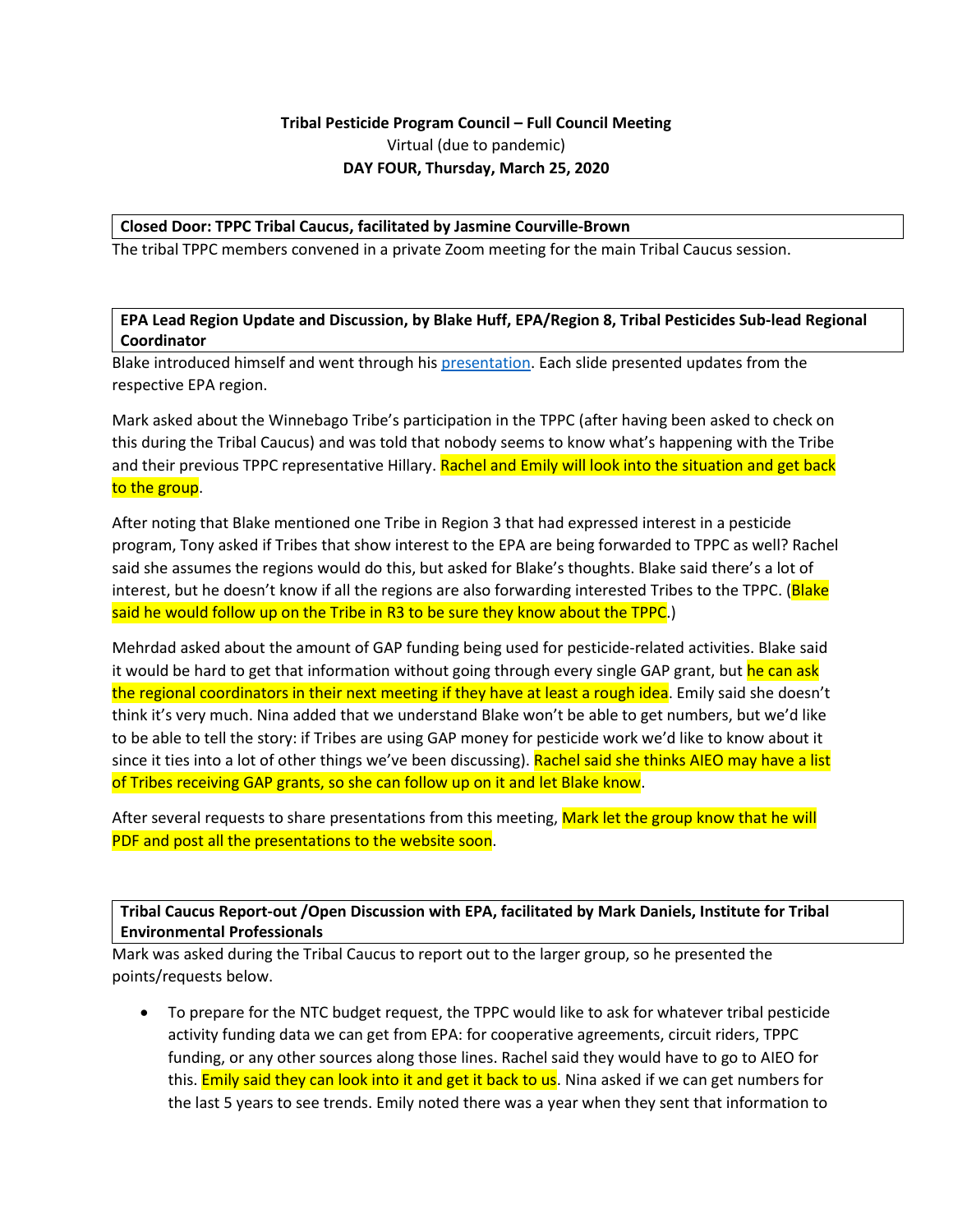# **Tribal Pesticide Program Council – Full Council Meeting** Virtual (due to pandemic) **DAY FOUR, Thursday, March 25, 2020**

#### **Closed Door: TPPC Tribal Caucus, facilitated by Jasmine Courville-Brown**

The tribal TPPC members convened in a private Zoom meeting for the main Tribal Caucus session.

**EPA Lead Region Update and Discussion, by Blake Huff, EPA/Region 8, Tribal Pesticides Sub-lead Regional Coordinator**

Blake introduced himself and went through his [presentation.](https://tppcwebsite.org/epa-lead-region-updates-3-25-21/) Each slide presented updates from the respective EPA region.

Mark asked about the Winnebago Tribe's participation in the TPPC (after having been asked to check on this during the Tribal Caucus) and was told that nobody seems to know what's happening with the Tribe and their previous TPPC representative Hillary. Rachel and Emily will look into the situation and get back to the group.

After noting that Blake mentioned one Tribe in Region 3 that had expressed interest in a pesticide program, Tony asked if Tribes that show interest to the EPA are being forwarded to TPPC as well? Rachel said she assumes the regions would do this, but asked for Blake's thoughts. Blake said there's a lot of interest, but he doesn't know if all the regions are also forwarding interested Tribes to the TPPC. (Blake said he would follow up on the Tribe in R3 to be sure they know about the TPPC.)

Mehrdad asked about the amount of GAP funding being used for pesticide-related activities. Blake said it would be hard to get that information without going through every single GAP grant, but he can ask the regional coordinators in their next meeting if they have at least a rough idea. Emily said she doesn't think it's very much. Nina added that we understand Blake won't be able to get numbers, but we'd like to be able to tell the story: if Tribes are using GAP money for pesticide work we'd like to know about it since it ties into a lot of other things we've been discussing). Rachel said she thinks AIEO may have a list of Tribes receiving GAP grants, so she can follow up on it and let Blake know.

After several requests to share presentations from this meeting, Mark let the group know that he will PDF and post all the presentations to the website soon.

**Tribal Caucus Report-out /Open Discussion with EPA, facilitated by Mark Daniels, Institute for Tribal Environmental Professionals**

Mark was asked during the Tribal Caucus to report out to the larger group, so he presented the points/requests below.

 To prepare for the NTC budget request, the TPPC would like to ask for whatever tribal pesticide activity funding data we can get from EPA: for cooperative agreements, circuit riders, TPPC funding, or any other sources along those lines. Rachel said they would have to go to AIEO for this. **Emily said they can look into it and get it back to us**. Nina asked if we can get numbers for the last 5 years to see trends. Emily noted there was a year when they sent that information to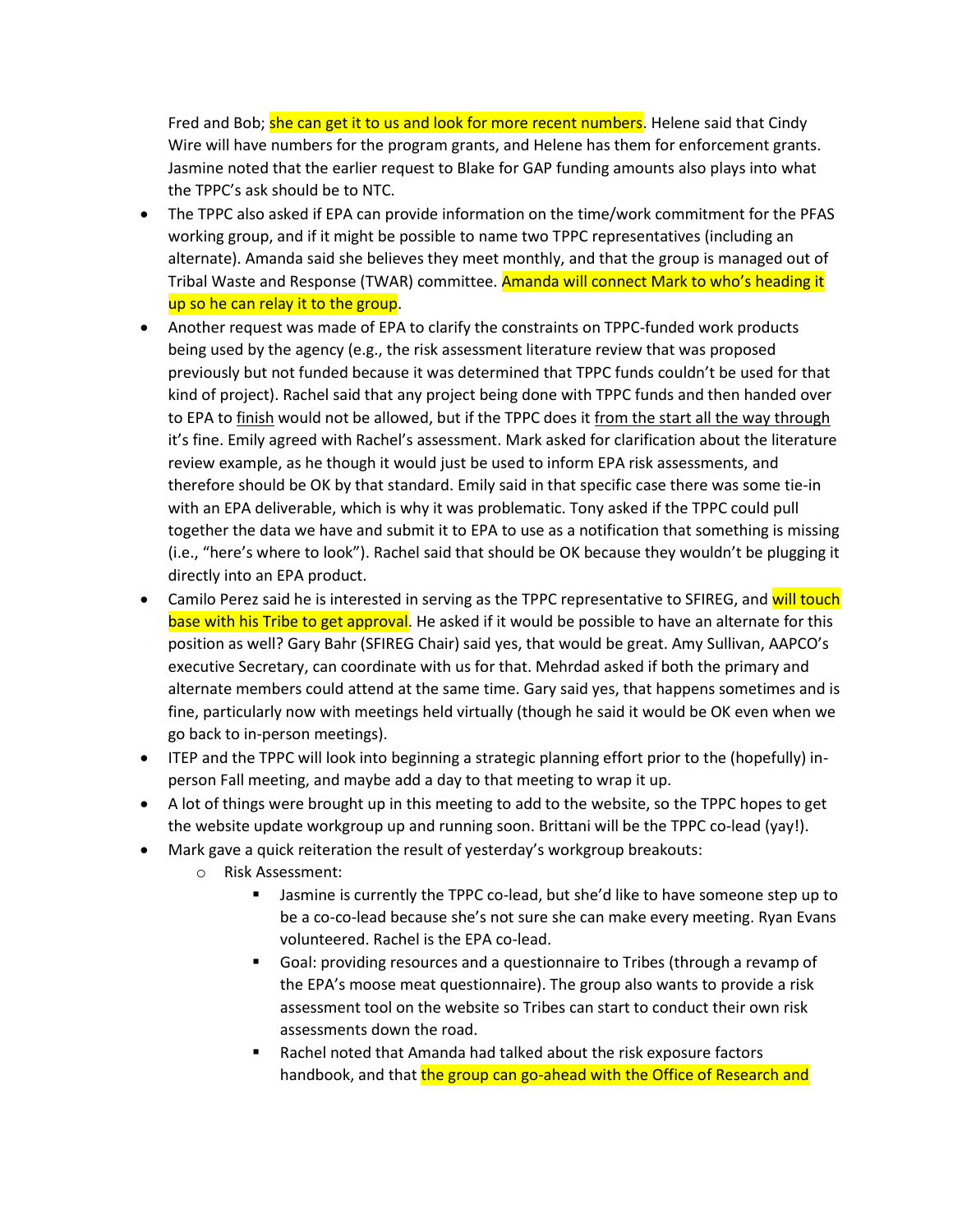Fred and Bob; she can get it to us and look for more recent numbers. Helene said that Cindy Wire will have numbers for the program grants, and Helene has them for enforcement grants. Jasmine noted that the earlier request to Blake for GAP funding amounts also plays into what the TPPC's ask should be to NTC.

- The TPPC also asked if EPA can provide information on the time/work commitment for the PFAS working group, and if it might be possible to name two TPPC representatives (including an alternate). Amanda said she believes they meet monthly, and that the group is managed out of Tribal Waste and Response (TWAR) committee. Amanda will connect Mark to who's heading it up so he can relay it to the group.
- Another request was made of EPA to clarify the constraints on TPPC-funded work products being used by the agency (e.g., the risk assessment literature review that was proposed previously but not funded because it was determined that TPPC funds couldn't be used for that kind of project). Rachel said that any project being done with TPPC funds and then handed over to EPA to finish would not be allowed, but if the TPPC does it from the start all the way through it's fine. Emily agreed with Rachel's assessment. Mark asked for clarification about the literature review example, as he though it would just be used to inform EPA risk assessments, and therefore should be OK by that standard. Emily said in that specific case there was some tie-in with an EPA deliverable, which is why it was problematic. Tony asked if the TPPC could pull together the data we have and submit it to EPA to use as a notification that something is missing (i.e., "here's where to look"). Rachel said that should be OK because they wouldn't be plugging it directly into an EPA product.
- Camilo Perez said he is interested in serving as the TPPC representative to SFIREG, and will touch base with his Tribe to get approval. He asked if it would be possible to have an alternate for this position as well? Gary Bahr (SFIREG Chair) said yes, that would be great. Amy Sullivan, AAPCO's executive Secretary, can coordinate with us for that. Mehrdad asked if both the primary and alternate members could attend at the same time. Gary said yes, that happens sometimes and is fine, particularly now with meetings held virtually (though he said it would be OK even when we go back to in-person meetings).
- ITEP and the TPPC will look into beginning a strategic planning effort prior to the (hopefully) inperson Fall meeting, and maybe add a day to that meeting to wrap it up.
- A lot of things were brought up in this meeting to add to the website, so the TPPC hopes to get the website update workgroup up and running soon. Brittani will be the TPPC co-lead (yay!).
- Mark gave a quick reiteration the result of yesterday's workgroup breakouts:
	- o Risk Assessment:
		- Jasmine is currently the TPPC co-lead, but she'd like to have someone step up to be a co-co-lead because she's not sure she can make every meeting. Ryan Evans volunteered. Rachel is the EPA co-lead.
		- Goal: providing resources and a questionnaire to Tribes (through a revamp of the EPA's moose meat questionnaire). The group also wants to provide a risk assessment tool on the website so Tribes can start to conduct their own risk assessments down the road.
		- Rachel noted that Amanda had talked about the risk exposure factors handbook, and that the group can go-ahead with the Office of Research and